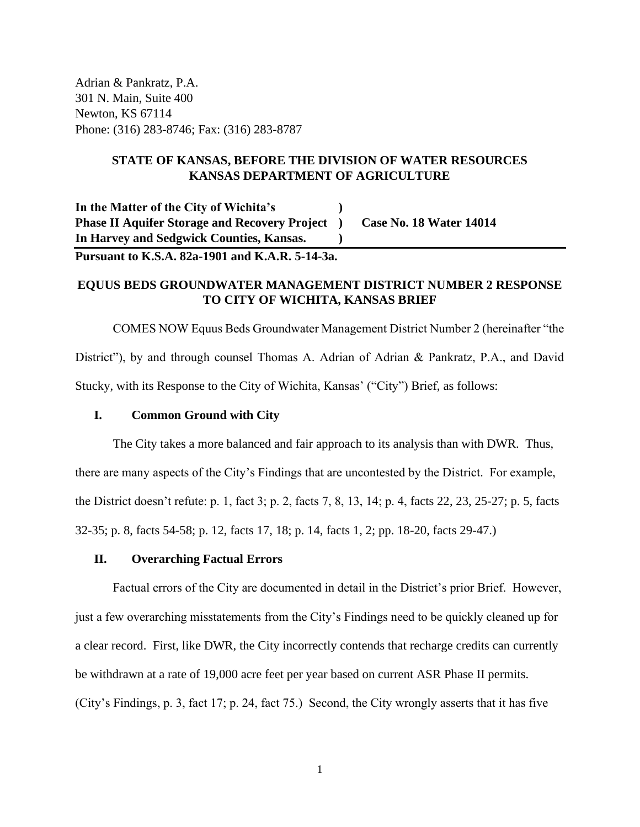Adrian & Pankratz, P.A. 301 N. Main, Suite 400 Newton, KS 67114 Phone: (316) 283-8746; Fax: (316) 283-8787

# **STATE OF KANSAS, BEFORE THE DIVISION OF WATER RESOURCES KANSAS DEPARTMENT OF AGRICULTURE**

**In the Matter of the City of Wichita's ) Phase II Aquifer Storage and Recovery Project ) Case No. 18 Water 14014 In Harvey and Sedgwick Counties, Kansas. )**

**Pursuant to K.S.A. 82a-1901 and K.A.R. 5-14-3a.**

# **EQUUS BEDS GROUNDWATER MANAGEMENT DISTRICT NUMBER 2 RESPONSE TO CITY OF WICHITA, KANSAS BRIEF**

COMES NOW Equus Beds Groundwater Management District Number 2 (hereinafter "the District"), by and through counsel Thomas A. Adrian of Adrian & Pankratz, P.A., and David Stucky, with its Response to the City of Wichita, Kansas' ("City") Brief, as follows:

# **I. Common Ground with City**

The City takes a more balanced and fair approach to its analysis than with DWR. Thus, there are many aspects of the City's Findings that are uncontested by the District. For example, the District doesn't refute: p. 1, fact 3; p. 2, facts 7, 8, 13, 14; p. 4, facts 22, 23, 25-27; p. 5, facts 32-35; p. 8, facts 54-58; p. 12, facts 17, 18; p. 14, facts 1, 2; pp. 18-20, facts 29-47.)

# **II. Overarching Factual Errors**

Factual errors of the City are documented in detail in the District's prior Brief. However, just a few overarching misstatements from the City's Findings need to be quickly cleaned up for a clear record. First, like DWR, the City incorrectly contends that recharge credits can currently be withdrawn at a rate of 19,000 acre feet per year based on current ASR Phase II permits. (City's Findings, p. 3, fact 17; p. 24, fact 75.) Second, the City wrongly asserts that it has five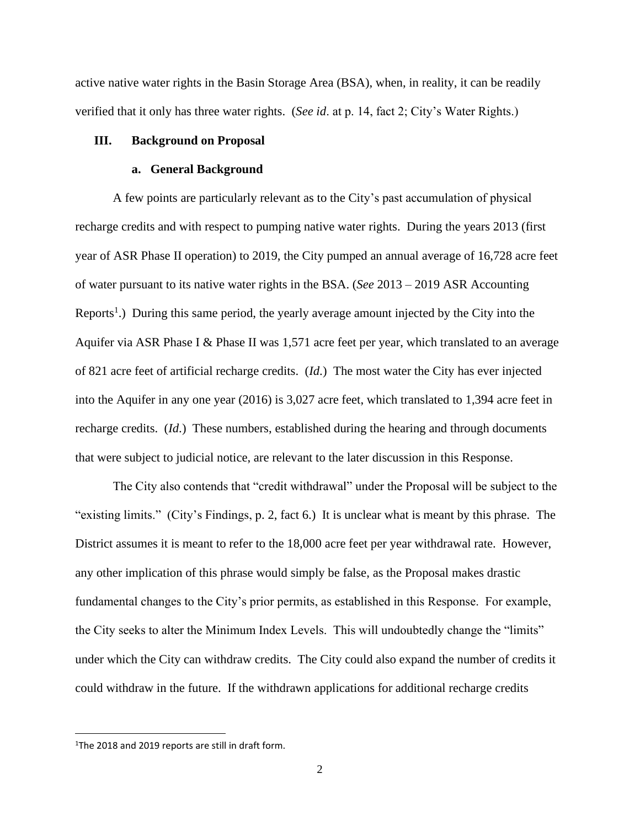active native water rights in the Basin Storage Area (BSA), when, in reality, it can be readily verified that it only has three water rights. (*See id*. at p. 14, fact 2; City's Water Rights.)

## **III. Background on Proposal**

## **a. General Background**

A few points are particularly relevant as to the City's past accumulation of physical recharge credits and with respect to pumping native water rights. During the years 2013 (first year of ASR Phase II operation) to 2019, the City pumped an annual average of 16,728 acre feet of water pursuant to its native water rights in the BSA. (*See* 2013 – 2019 ASR Accounting Reports<sup>1</sup>.) During this same period, the yearly average amount injected by the City into the Aquifer via ASR Phase I & Phase II was 1,571 acre feet per year, which translated to an average of 821 acre feet of artificial recharge credits. (*Id*.) The most water the City has ever injected into the Aquifer in any one year (2016) is 3,027 acre feet, which translated to 1,394 acre feet in recharge credits. (*Id*.) These numbers, established during the hearing and through documents that were subject to judicial notice, are relevant to the later discussion in this Response.

The City also contends that "credit withdrawal" under the Proposal will be subject to the "existing limits." (City's Findings, p. 2, fact 6.) It is unclear what is meant by this phrase. The District assumes it is meant to refer to the 18,000 acre feet per year withdrawal rate. However, any other implication of this phrase would simply be false, as the Proposal makes drastic fundamental changes to the City's prior permits, as established in this Response. For example, the City seeks to alter the Minimum Index Levels. This will undoubtedly change the "limits" under which the City can withdraw credits. The City could also expand the number of credits it could withdraw in the future. If the withdrawn applications for additional recharge credits

<sup>&</sup>lt;sup>1</sup>The 2018 and 2019 reports are still in draft form.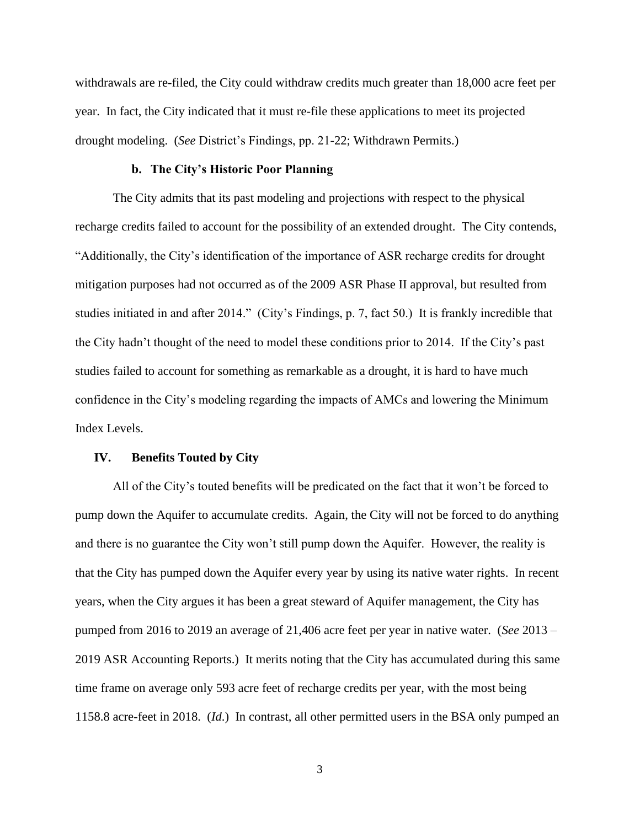withdrawals are re-filed, the City could withdraw credits much greater than 18,000 acre feet per year. In fact, the City indicated that it must re-file these applications to meet its projected drought modeling. (*See* District's Findings, pp. 21-22; Withdrawn Permits.)

# **b. The City's Historic Poor Planning**

The City admits that its past modeling and projections with respect to the physical recharge credits failed to account for the possibility of an extended drought. The City contends, "Additionally, the City's identification of the importance of ASR recharge credits for drought mitigation purposes had not occurred as of the 2009 ASR Phase II approval, but resulted from studies initiated in and after 2014." (City's Findings, p. 7, fact 50.) It is frankly incredible that the City hadn't thought of the need to model these conditions prior to 2014. If the City's past studies failed to account for something as remarkable as a drought, it is hard to have much confidence in the City's modeling regarding the impacts of AMCs and lowering the Minimum Index Levels.

#### **IV. Benefits Touted by City**

All of the City's touted benefits will be predicated on the fact that it won't be forced to pump down the Aquifer to accumulate credits. Again, the City will not be forced to do anything and there is no guarantee the City won't still pump down the Aquifer. However, the reality is that the City has pumped down the Aquifer every year by using its native water rights. In recent years, when the City argues it has been a great steward of Aquifer management, the City has pumped from 2016 to 2019 an average of 21,406 acre feet per year in native water. (*See* 2013 – 2019 ASR Accounting Reports.) It merits noting that the City has accumulated during this same time frame on average only 593 acre feet of recharge credits per year, with the most being 1158.8 acre-feet in 2018. (*Id*.) In contrast, all other permitted users in the BSA only pumped an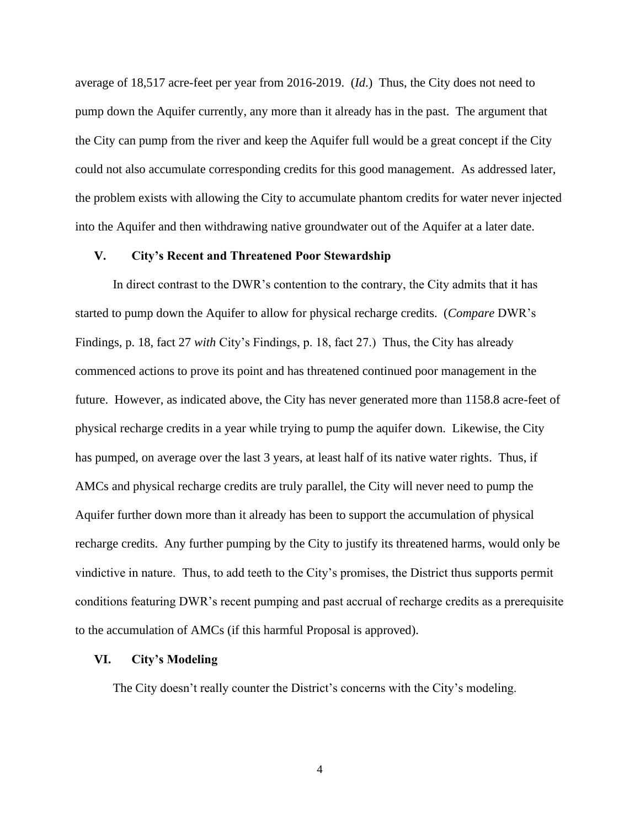average of 18,517 acre-feet per year from 2016-2019. (*Id*.) Thus, the City does not need to pump down the Aquifer currently, any more than it already has in the past. The argument that the City can pump from the river and keep the Aquifer full would be a great concept if the City could not also accumulate corresponding credits for this good management. As addressed later, the problem exists with allowing the City to accumulate phantom credits for water never injected into the Aquifer and then withdrawing native groundwater out of the Aquifer at a later date.

## **V. City's Recent and Threatened Poor Stewardship**

In direct contrast to the DWR's contention to the contrary, the City admits that it has started to pump down the Aquifer to allow for physical recharge credits. (*Compare* DWR's Findings, p. 18, fact 27 *with* City's Findings, p. 18, fact 27.) Thus, the City has already commenced actions to prove its point and has threatened continued poor management in the future. However, as indicated above, the City has never generated more than 1158.8 acre-feet of physical recharge credits in a year while trying to pump the aquifer down. Likewise, the City has pumped, on average over the last 3 years, at least half of its native water rights. Thus, if AMCs and physical recharge credits are truly parallel, the City will never need to pump the Aquifer further down more than it already has been to support the accumulation of physical recharge credits. Any further pumping by the City to justify its threatened harms, would only be vindictive in nature. Thus, to add teeth to the City's promises, the District thus supports permit conditions featuring DWR's recent pumping and past accrual of recharge credits as a prerequisite to the accumulation of AMCs (if this harmful Proposal is approved).

#### **VI. City's Modeling**

The City doesn't really counter the District's concerns with the City's modeling.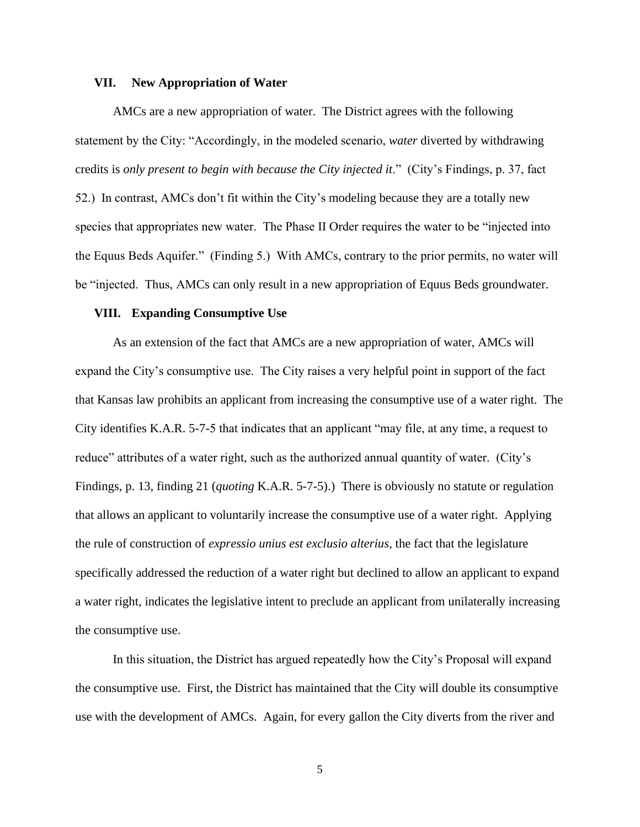## **VII. New Appropriation of Water**

AMCs are a new appropriation of water. The District agrees with the following statement by the City: "Accordingly, in the modeled scenario, *water* diverted by withdrawing credits is *only present to begin with because the City injected it*." (City's Findings, p. 37, fact 52.) In contrast, AMCs don't fit within the City's modeling because they are a totally new species that appropriates new water. The Phase II Order requires the water to be "injected into the Equus Beds Aquifer." (Finding 5.) With AMCs, contrary to the prior permits, no water will be "injected. Thus, AMCs can only result in a new appropriation of Equus Beds groundwater.

### **VIII. Expanding Consumptive Use**

As an extension of the fact that AMCs are a new appropriation of water, AMCs will expand the City's consumptive use. The City raises a very helpful point in support of the fact that Kansas law prohibits an applicant from increasing the consumptive use of a water right. The City identifies K.A.R. 5-7-5 that indicates that an applicant "may file, at any time, a request to reduce" attributes of a water right, such as the authorized annual quantity of water. (City's Findings, p. 13, finding 21 (*quoting* K.A.R. 5-7-5).) There is obviously no statute or regulation that allows an applicant to voluntarily increase the consumptive use of a water right. Applying the rule of construction of *expressio unius est exclusio alterius*, the fact that the legislature specifically addressed the reduction of a water right but declined to allow an applicant to expand a water right, indicates the legislative intent to preclude an applicant from unilaterally increasing the consumptive use.

In this situation, the District has argued repeatedly how the City's Proposal will expand the consumptive use. First, the District has maintained that the City will double its consumptive use with the development of AMCs. Again, for every gallon the City diverts from the river and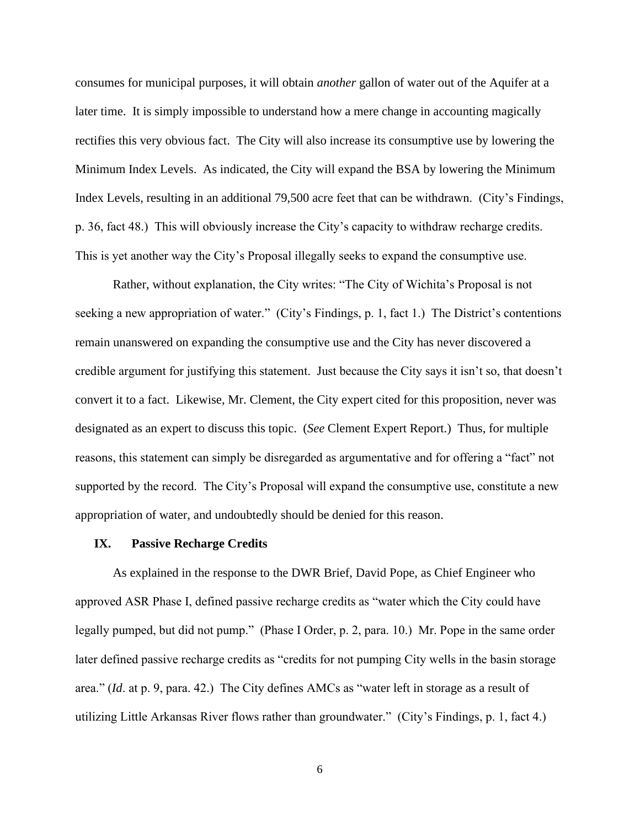consumes for municipal purposes, it will obtain *another* gallon of water out of the Aquifer at a later time. It is simply impossible to understand how a mere change in accounting magically rectifies this very obvious fact. The City will also increase its consumptive use by lowering the Minimum Index Levels. As indicated, the City will expand the BSA by lowering the Minimum Index Levels, resulting in an additional 79,500 acre feet that can be withdrawn. (City's Findings, p. 36, fact 48.) This will obviously increase the City's capacity to withdraw recharge credits. This is yet another way the City's Proposal illegally seeks to expand the consumptive use.

Rather, without explanation, the City writes: "The City of Wichita's Proposal is not seeking a new appropriation of water." (City's Findings, p. 1, fact 1.) The District's contentions remain unanswered on expanding the consumptive use and the City has never discovered a credible argument for justifying this statement. Just because the City says it isn't so, that doesn't convert it to a fact. Likewise, Mr. Clement, the City expert cited for this proposition, never was designated as an expert to discuss this topic. (*See* Clement Expert Report.) Thus, for multiple reasons, this statement can simply be disregarded as argumentative and for offering a "fact" not supported by the record. The City's Proposal will expand the consumptive use, constitute a new appropriation of water, and undoubtedly should be denied for this reason.

#### **IX. Passive Recharge Credits**

As explained in the response to the DWR Brief, David Pope, as Chief Engineer who approved ASR Phase I, defined passive recharge credits as "water which the City could have legally pumped, but did not pump." (Phase I Order, p. 2, para. 10.) Mr. Pope in the same order later defined passive recharge credits as "credits for not pumping City wells in the basin storage area." (*Id*. at p. 9, para. 42.) The City defines AMCs as "water left in storage as a result of utilizing Little Arkansas River flows rather than groundwater." (City's Findings, p. 1, fact 4.)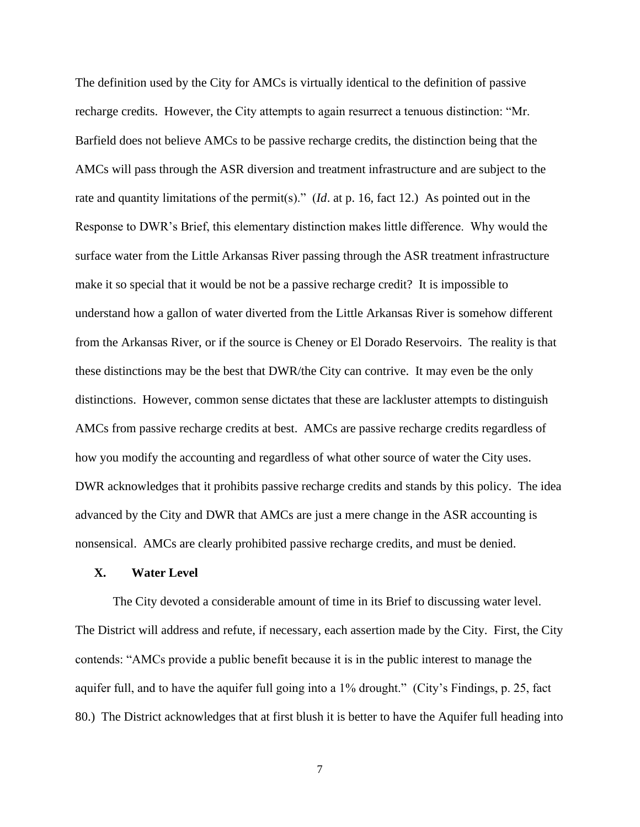The definition used by the City for AMCs is virtually identical to the definition of passive recharge credits. However, the City attempts to again resurrect a tenuous distinction: "Mr. Barfield does not believe AMCs to be passive recharge credits, the distinction being that the AMCs will pass through the ASR diversion and treatment infrastructure and are subject to the rate and quantity limitations of the permit(s)." (*Id*. at p. 16, fact 12.) As pointed out in the Response to DWR's Brief, this elementary distinction makes little difference. Why would the surface water from the Little Arkansas River passing through the ASR treatment infrastructure make it so special that it would be not be a passive recharge credit? It is impossible to understand how a gallon of water diverted from the Little Arkansas River is somehow different from the Arkansas River, or if the source is Cheney or El Dorado Reservoirs. The reality is that these distinctions may be the best that DWR/the City can contrive. It may even be the only distinctions. However, common sense dictates that these are lackluster attempts to distinguish AMCs from passive recharge credits at best. AMCs are passive recharge credits regardless of how you modify the accounting and regardless of what other source of water the City uses. DWR acknowledges that it prohibits passive recharge credits and stands by this policy. The idea advanced by the City and DWR that AMCs are just a mere change in the ASR accounting is nonsensical. AMCs are clearly prohibited passive recharge credits, and must be denied.

# **X. Water Level**

The City devoted a considerable amount of time in its Brief to discussing water level. The District will address and refute, if necessary, each assertion made by the City. First, the City contends: "AMCs provide a public benefit because it is in the public interest to manage the aquifer full, and to have the aquifer full going into a 1% drought." (City's Findings, p. 25, fact 80.) The District acknowledges that at first blush it is better to have the Aquifer full heading into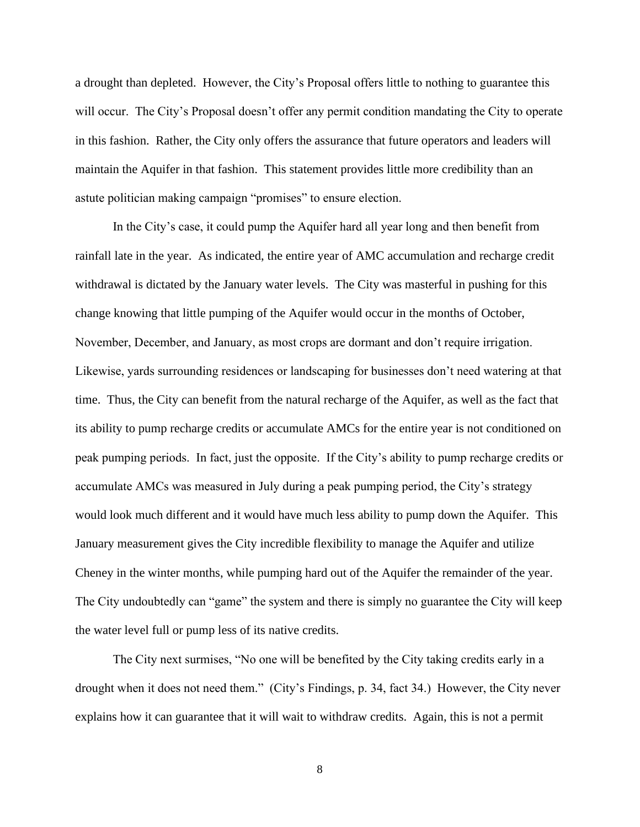a drought than depleted. However, the City's Proposal offers little to nothing to guarantee this will occur. The City's Proposal doesn't offer any permit condition mandating the City to operate in this fashion. Rather, the City only offers the assurance that future operators and leaders will maintain the Aquifer in that fashion. This statement provides little more credibility than an astute politician making campaign "promises" to ensure election.

In the City's case, it could pump the Aquifer hard all year long and then benefit from rainfall late in the year. As indicated, the entire year of AMC accumulation and recharge credit withdrawal is dictated by the January water levels. The City was masterful in pushing for this change knowing that little pumping of the Aquifer would occur in the months of October, November, December, and January, as most crops are dormant and don't require irrigation. Likewise, yards surrounding residences or landscaping for businesses don't need watering at that time. Thus, the City can benefit from the natural recharge of the Aquifer, as well as the fact that its ability to pump recharge credits or accumulate AMCs for the entire year is not conditioned on peak pumping periods. In fact, just the opposite. If the City's ability to pump recharge credits or accumulate AMCs was measured in July during a peak pumping period, the City's strategy would look much different and it would have much less ability to pump down the Aquifer. This January measurement gives the City incredible flexibility to manage the Aquifer and utilize Cheney in the winter months, while pumping hard out of the Aquifer the remainder of the year. The City undoubtedly can "game" the system and there is simply no guarantee the City will keep the water level full or pump less of its native credits.

The City next surmises, "No one will be benefited by the City taking credits early in a drought when it does not need them." (City's Findings, p. 34, fact 34.) However, the City never explains how it can guarantee that it will wait to withdraw credits. Again, this is not a permit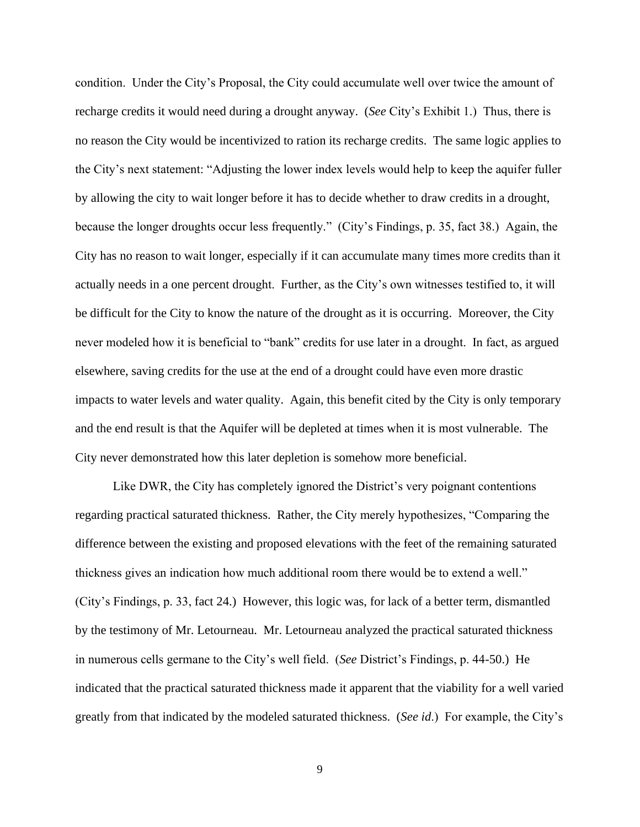condition. Under the City's Proposal, the City could accumulate well over twice the amount of recharge credits it would need during a drought anyway. (*See* City's Exhibit 1.) Thus, there is no reason the City would be incentivized to ration its recharge credits. The same logic applies to the City's next statement: "Adjusting the lower index levels would help to keep the aquifer fuller by allowing the city to wait longer before it has to decide whether to draw credits in a drought, because the longer droughts occur less frequently." (City's Findings, p. 35, fact 38.) Again, the City has no reason to wait longer, especially if it can accumulate many times more credits than it actually needs in a one percent drought. Further, as the City's own witnesses testified to, it will be difficult for the City to know the nature of the drought as it is occurring. Moreover, the City never modeled how it is beneficial to "bank" credits for use later in a drought. In fact, as argued elsewhere, saving credits for the use at the end of a drought could have even more drastic impacts to water levels and water quality. Again, this benefit cited by the City is only temporary and the end result is that the Aquifer will be depleted at times when it is most vulnerable. The City never demonstrated how this later depletion is somehow more beneficial.

Like DWR, the City has completely ignored the District's very poignant contentions regarding practical saturated thickness. Rather, the City merely hypothesizes, "Comparing the difference between the existing and proposed elevations with the feet of the remaining saturated thickness gives an indication how much additional room there would be to extend a well." (City's Findings, p. 33, fact 24.) However, this logic was, for lack of a better term, dismantled by the testimony of Mr. Letourneau. Mr. Letourneau analyzed the practical saturated thickness in numerous cells germane to the City's well field. (*See* District's Findings, p. 44-50.) He indicated that the practical saturated thickness made it apparent that the viability for a well varied greatly from that indicated by the modeled saturated thickness. (*See id*.) For example, the City's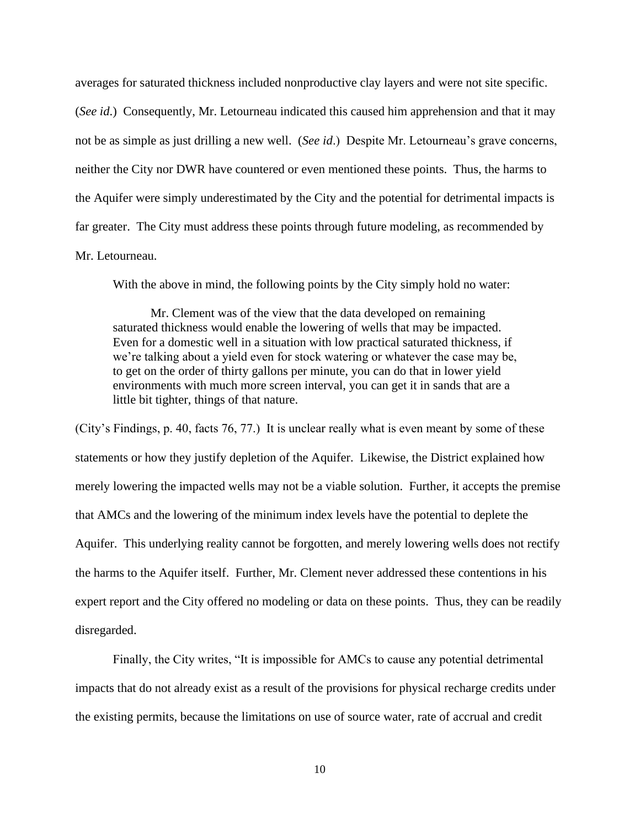averages for saturated thickness included nonproductive clay layers and were not site specific.

(*See id*.) Consequently, Mr. Letourneau indicated this caused him apprehension and that it may not be as simple as just drilling a new well. (*See id*.) Despite Mr. Letourneau's grave concerns, neither the City nor DWR have countered or even mentioned these points. Thus, the harms to the Aquifer were simply underestimated by the City and the potential for detrimental impacts is far greater. The City must address these points through future modeling, as recommended by Mr. Letourneau.

With the above in mind, the following points by the City simply hold no water:

Mr. Clement was of the view that the data developed on remaining saturated thickness would enable the lowering of wells that may be impacted. Even for a domestic well in a situation with low practical saturated thickness, if we're talking about a yield even for stock watering or whatever the case may be, to get on the order of thirty gallons per minute, you can do that in lower yield environments with much more screen interval, you can get it in sands that are a little bit tighter, things of that nature.

(City's Findings, p. 40, facts 76, 77.) It is unclear really what is even meant by some of these statements or how they justify depletion of the Aquifer. Likewise, the District explained how merely lowering the impacted wells may not be a viable solution. Further, it accepts the premise that AMCs and the lowering of the minimum index levels have the potential to deplete the Aquifer. This underlying reality cannot be forgotten, and merely lowering wells does not rectify the harms to the Aquifer itself. Further, Mr. Clement never addressed these contentions in his expert report and the City offered no modeling or data on these points. Thus, they can be readily disregarded.

Finally, the City writes, "It is impossible for AMCs to cause any potential detrimental impacts that do not already exist as a result of the provisions for physical recharge credits under the existing permits, because the limitations on use of source water, rate of accrual and credit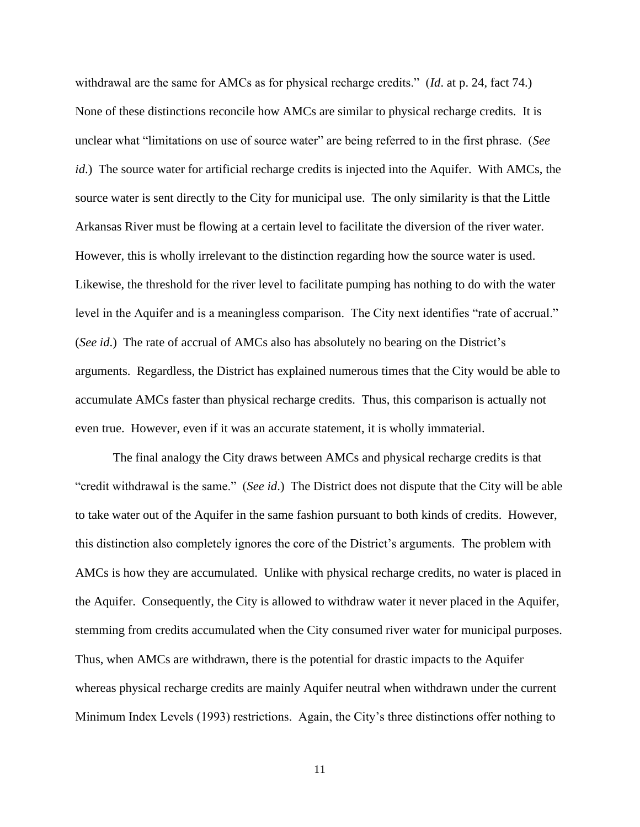withdrawal are the same for AMCs as for physical recharge credits." (*Id*. at p. 24, fact 74.) None of these distinctions reconcile how AMCs are similar to physical recharge credits. It is unclear what "limitations on use of source water" are being referred to in the first phrase. (*See id*.) The source water for artificial recharge credits is injected into the Aquifer. With AMCs, the source water is sent directly to the City for municipal use. The only similarity is that the Little Arkansas River must be flowing at a certain level to facilitate the diversion of the river water. However, this is wholly irrelevant to the distinction regarding how the source water is used. Likewise, the threshold for the river level to facilitate pumping has nothing to do with the water level in the Aquifer and is a meaningless comparison. The City next identifies "rate of accrual." (*See id*.) The rate of accrual of AMCs also has absolutely no bearing on the District's arguments. Regardless, the District has explained numerous times that the City would be able to accumulate AMCs faster than physical recharge credits. Thus, this comparison is actually not even true. However, even if it was an accurate statement, it is wholly immaterial.

The final analogy the City draws between AMCs and physical recharge credits is that "credit withdrawal is the same." (*See id*.) The District does not dispute that the City will be able to take water out of the Aquifer in the same fashion pursuant to both kinds of credits. However, this distinction also completely ignores the core of the District's arguments. The problem with AMCs is how they are accumulated. Unlike with physical recharge credits, no water is placed in the Aquifer. Consequently, the City is allowed to withdraw water it never placed in the Aquifer, stemming from credits accumulated when the City consumed river water for municipal purposes. Thus, when AMCs are withdrawn, there is the potential for drastic impacts to the Aquifer whereas physical recharge credits are mainly Aquifer neutral when withdrawn under the current Minimum Index Levels (1993) restrictions. Again, the City's three distinctions offer nothing to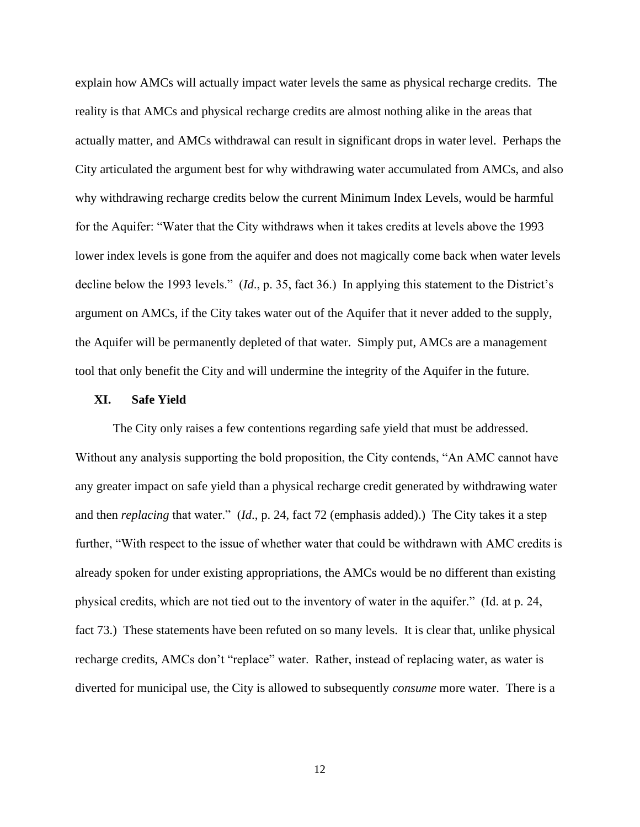explain how AMCs will actually impact water levels the same as physical recharge credits. The reality is that AMCs and physical recharge credits are almost nothing alike in the areas that actually matter, and AMCs withdrawal can result in significant drops in water level. Perhaps the City articulated the argument best for why withdrawing water accumulated from AMCs, and also why withdrawing recharge credits below the current Minimum Index Levels, would be harmful for the Aquifer: "Water that the City withdraws when it takes credits at levels above the 1993 lower index levels is gone from the aquifer and does not magically come back when water levels decline below the 1993 levels." (*Id*., p. 35, fact 36.) In applying this statement to the District's argument on AMCs, if the City takes water out of the Aquifer that it never added to the supply, the Aquifer will be permanently depleted of that water. Simply put, AMCs are a management tool that only benefit the City and will undermine the integrity of the Aquifer in the future.

## **XI. Safe Yield**

The City only raises a few contentions regarding safe yield that must be addressed. Without any analysis supporting the bold proposition, the City contends, "An AMC cannot have any greater impact on safe yield than a physical recharge credit generated by withdrawing water and then *replacing* that water." (*Id*., p. 24, fact 72 (emphasis added).) The City takes it a step further, "With respect to the issue of whether water that could be withdrawn with AMC credits is already spoken for under existing appropriations, the AMCs would be no different than existing physical credits, which are not tied out to the inventory of water in the aquifer." (Id. at p. 24, fact 73.) These statements have been refuted on so many levels. It is clear that, unlike physical recharge credits, AMCs don't "replace" water. Rather, instead of replacing water, as water is diverted for municipal use, the City is allowed to subsequently *consume* more water. There is a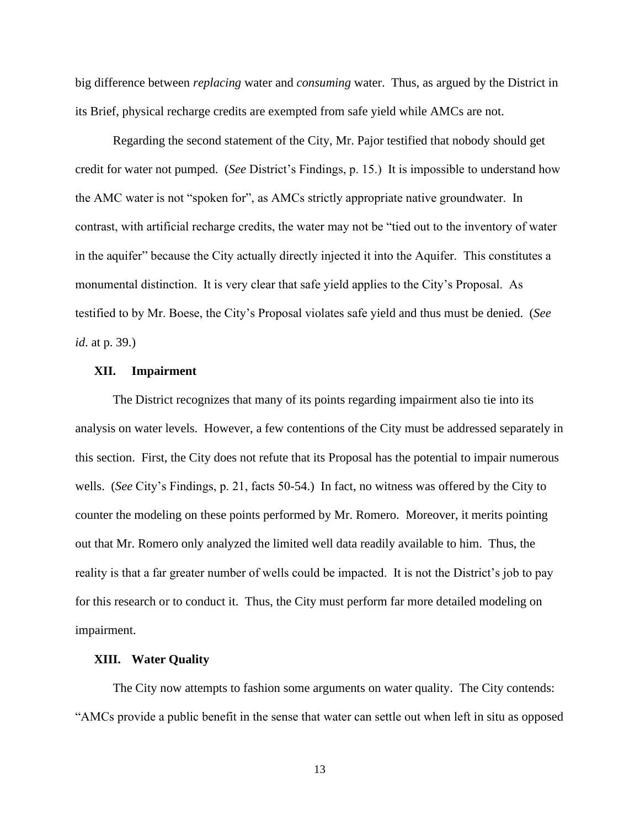big difference between *replacing* water and *consuming* water. Thus, as argued by the District in its Brief, physical recharge credits are exempted from safe yield while AMCs are not.

Regarding the second statement of the City, Mr. Pajor testified that nobody should get credit for water not pumped. (*See* District's Findings, p. 15.) It is impossible to understand how the AMC water is not "spoken for", as AMCs strictly appropriate native groundwater. In contrast, with artificial recharge credits, the water may not be "tied out to the inventory of water in the aquifer" because the City actually directly injected it into the Aquifer. This constitutes a monumental distinction. It is very clear that safe yield applies to the City's Proposal. As testified to by Mr. Boese, the City's Proposal violates safe yield and thus must be denied. (*See id*. at p. 39.)

#### **XII. Impairment**

The District recognizes that many of its points regarding impairment also tie into its analysis on water levels. However, a few contentions of the City must be addressed separately in this section. First, the City does not refute that its Proposal has the potential to impair numerous wells. (*See* City's Findings, p. 21, facts 50-54.) In fact, no witness was offered by the City to counter the modeling on these points performed by Mr. Romero. Moreover, it merits pointing out that Mr. Romero only analyzed the limited well data readily available to him. Thus, the reality is that a far greater number of wells could be impacted. It is not the District's job to pay for this research or to conduct it. Thus, the City must perform far more detailed modeling on impairment.

#### **XIII. Water Quality**

The City now attempts to fashion some arguments on water quality. The City contends: "AMCs provide a public benefit in the sense that water can settle out when left in situ as opposed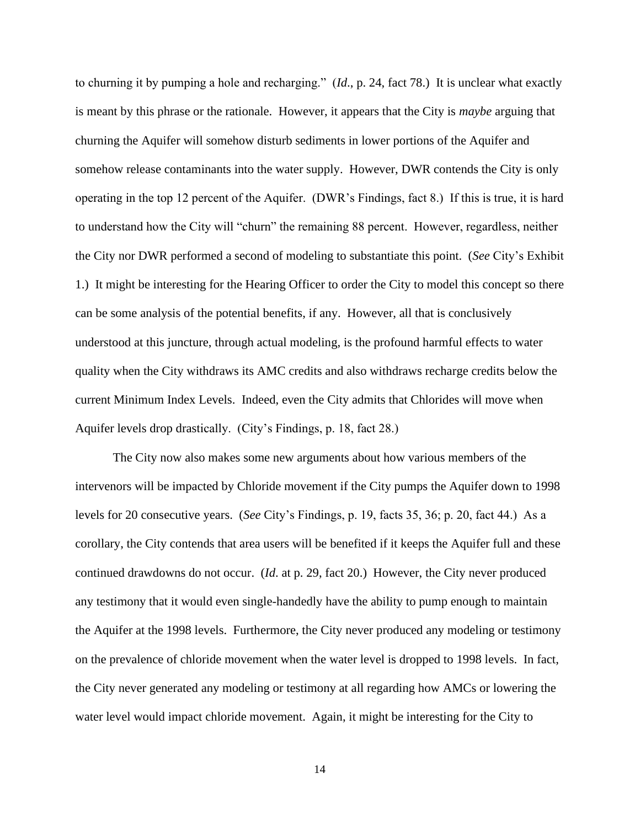to churning it by pumping a hole and recharging." (*Id*., p. 24, fact 78.) It is unclear what exactly is meant by this phrase or the rationale. However, it appears that the City is *maybe* arguing that churning the Aquifer will somehow disturb sediments in lower portions of the Aquifer and somehow release contaminants into the water supply. However, DWR contends the City is only operating in the top 12 percent of the Aquifer. (DWR's Findings, fact 8.) If this is true, it is hard to understand how the City will "churn" the remaining 88 percent. However, regardless, neither the City nor DWR performed a second of modeling to substantiate this point. (*See* City's Exhibit 1.) It might be interesting for the Hearing Officer to order the City to model this concept so there can be some analysis of the potential benefits, if any. However, all that is conclusively understood at this juncture, through actual modeling, is the profound harmful effects to water quality when the City withdraws its AMC credits and also withdraws recharge credits below the current Minimum Index Levels. Indeed, even the City admits that Chlorides will move when Aquifer levels drop drastically. (City's Findings, p. 18, fact 28.)

The City now also makes some new arguments about how various members of the intervenors will be impacted by Chloride movement if the City pumps the Aquifer down to 1998 levels for 20 consecutive years. (*See* City's Findings, p. 19, facts 35, 36; p. 20, fact 44.) As a corollary, the City contends that area users will be benefited if it keeps the Aquifer full and these continued drawdowns do not occur. (*Id*. at p. 29, fact 20.) However, the City never produced any testimony that it would even single-handedly have the ability to pump enough to maintain the Aquifer at the 1998 levels. Furthermore, the City never produced any modeling or testimony on the prevalence of chloride movement when the water level is dropped to 1998 levels. In fact, the City never generated any modeling or testimony at all regarding how AMCs or lowering the water level would impact chloride movement. Again, it might be interesting for the City to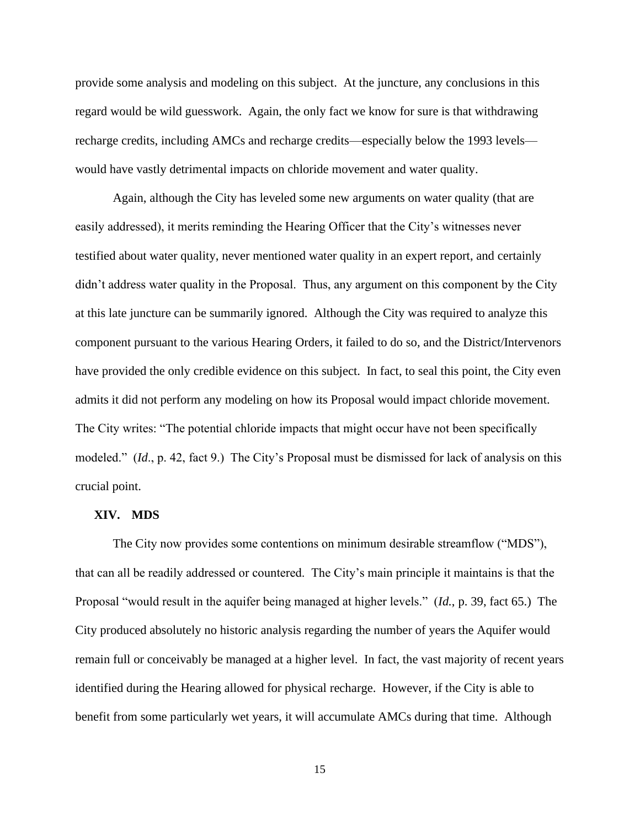provide some analysis and modeling on this subject. At the juncture, any conclusions in this regard would be wild guesswork. Again, the only fact we know for sure is that withdrawing recharge credits, including AMCs and recharge credits—especially below the 1993 levels would have vastly detrimental impacts on chloride movement and water quality.

Again, although the City has leveled some new arguments on water quality (that are easily addressed), it merits reminding the Hearing Officer that the City's witnesses never testified about water quality, never mentioned water quality in an expert report, and certainly didn't address water quality in the Proposal. Thus, any argument on this component by the City at this late juncture can be summarily ignored. Although the City was required to analyze this component pursuant to the various Hearing Orders, it failed to do so, and the District/Intervenors have provided the only credible evidence on this subject. In fact, to seal this point, the City even admits it did not perform any modeling on how its Proposal would impact chloride movement. The City writes: "The potential chloride impacts that might occur have not been specifically modeled." (*Id*., p. 42, fact 9.) The City's Proposal must be dismissed for lack of analysis on this crucial point.

#### **XIV. MDS**

The City now provides some contentions on minimum desirable streamflow ("MDS"), that can all be readily addressed or countered. The City's main principle it maintains is that the Proposal "would result in the aquifer being managed at higher levels." (*Id.*, p. 39, fact 65.) The City produced absolutely no historic analysis regarding the number of years the Aquifer would remain full or conceivably be managed at a higher level. In fact, the vast majority of recent years identified during the Hearing allowed for physical recharge. However, if the City is able to benefit from some particularly wet years, it will accumulate AMCs during that time. Although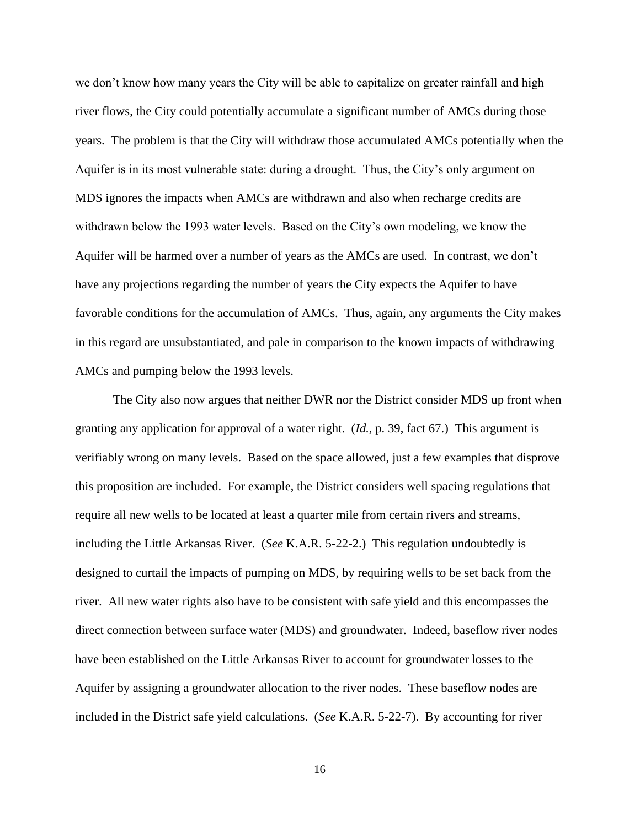we don't know how many years the City will be able to capitalize on greater rainfall and high river flows, the City could potentially accumulate a significant number of AMCs during those years. The problem is that the City will withdraw those accumulated AMCs potentially when the Aquifer is in its most vulnerable state: during a drought. Thus, the City's only argument on MDS ignores the impacts when AMCs are withdrawn and also when recharge credits are withdrawn below the 1993 water levels. Based on the City's own modeling, we know the Aquifer will be harmed over a number of years as the AMCs are used. In contrast, we don't have any projections regarding the number of years the City expects the Aquifer to have favorable conditions for the accumulation of AMCs. Thus, again, any arguments the City makes in this regard are unsubstantiated, and pale in comparison to the known impacts of withdrawing AMCs and pumping below the 1993 levels.

The City also now argues that neither DWR nor the District consider MDS up front when granting any application for approval of a water right. (*Id.*, p. 39, fact 67.) This argument is verifiably wrong on many levels. Based on the space allowed, just a few examples that disprove this proposition are included. For example, the District considers well spacing regulations that require all new wells to be located at least a quarter mile from certain rivers and streams, including the Little Arkansas River. (*See* K.A.R. 5-22-2.) This regulation undoubtedly is designed to curtail the impacts of pumping on MDS, by requiring wells to be set back from the river. All new water rights also have to be consistent with safe yield and this encompasses the direct connection between surface water (MDS) and groundwater. Indeed, baseflow river nodes have been established on the Little Arkansas River to account for groundwater losses to the Aquifer by assigning a groundwater allocation to the river nodes. These baseflow nodes are included in the District safe yield calculations. (*See* K.A.R. 5-22-7). By accounting for river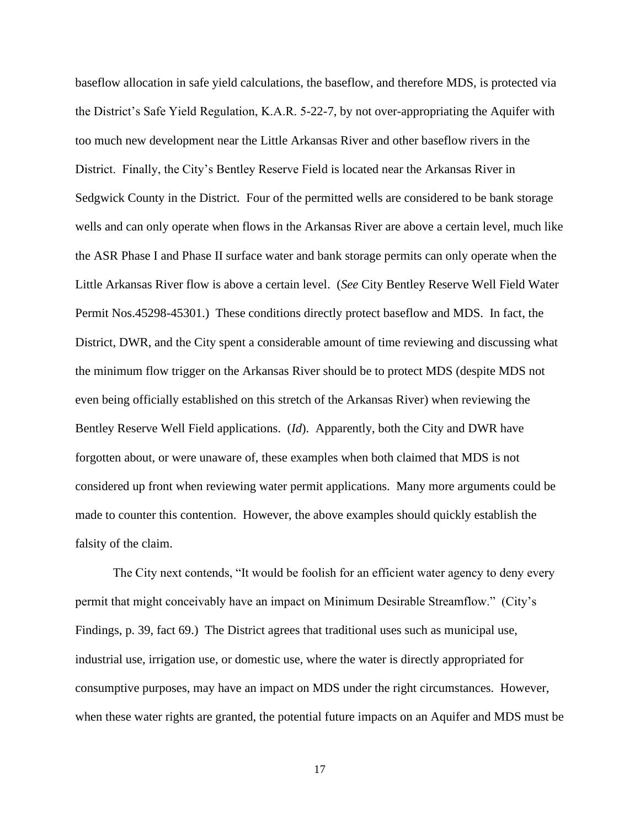baseflow allocation in safe yield calculations, the baseflow, and therefore MDS, is protected via the District's Safe Yield Regulation, K.A.R. 5-22-7, by not over-appropriating the Aquifer with too much new development near the Little Arkansas River and other baseflow rivers in the District. Finally, the City's Bentley Reserve Field is located near the Arkansas River in Sedgwick County in the District. Four of the permitted wells are considered to be bank storage wells and can only operate when flows in the Arkansas River are above a certain level, much like the ASR Phase I and Phase II surface water and bank storage permits can only operate when the Little Arkansas River flow is above a certain level. (*See* City Bentley Reserve Well Field Water Permit Nos.45298-45301.) These conditions directly protect baseflow and MDS. In fact, the District, DWR, and the City spent a considerable amount of time reviewing and discussing what the minimum flow trigger on the Arkansas River should be to protect MDS (despite MDS not even being officially established on this stretch of the Arkansas River) when reviewing the Bentley Reserve Well Field applications. (*Id*). Apparently, both the City and DWR have forgotten about, or were unaware of, these examples when both claimed that MDS is not considered up front when reviewing water permit applications. Many more arguments could be made to counter this contention. However, the above examples should quickly establish the falsity of the claim.

The City next contends, "It would be foolish for an efficient water agency to deny every permit that might conceivably have an impact on Minimum Desirable Streamflow." (City's Findings, p. 39, fact 69.) The District agrees that traditional uses such as municipal use, industrial use, irrigation use, or domestic use, where the water is directly appropriated for consumptive purposes, may have an impact on MDS under the right circumstances. However, when these water rights are granted, the potential future impacts on an Aquifer and MDS must be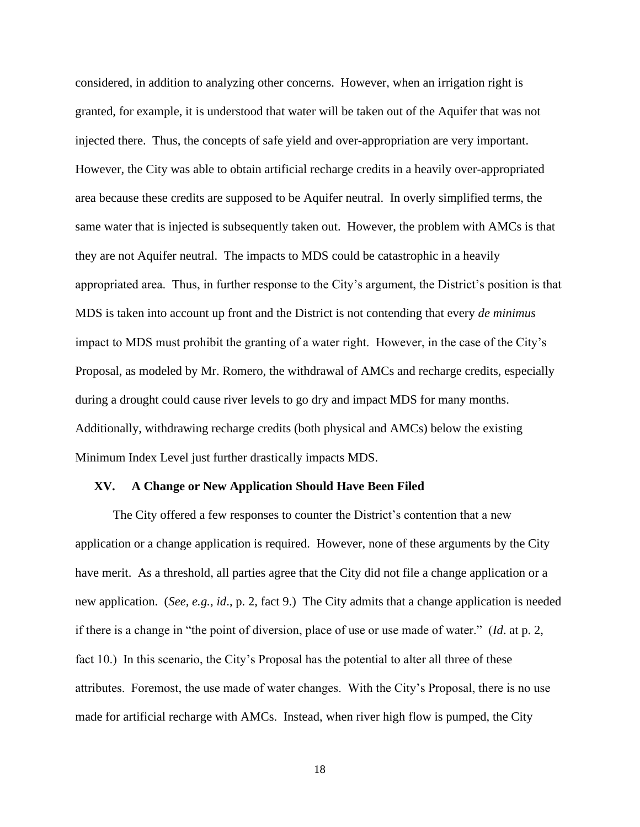considered, in addition to analyzing other concerns. However, when an irrigation right is granted, for example, it is understood that water will be taken out of the Aquifer that was not injected there. Thus, the concepts of safe yield and over-appropriation are very important. However, the City was able to obtain artificial recharge credits in a heavily over-appropriated area because these credits are supposed to be Aquifer neutral. In overly simplified terms, the same water that is injected is subsequently taken out. However, the problem with AMCs is that they are not Aquifer neutral. The impacts to MDS could be catastrophic in a heavily appropriated area. Thus, in further response to the City's argument, the District's position is that MDS is taken into account up front and the District is not contending that every *de minimus* impact to MDS must prohibit the granting of a water right. However, in the case of the City's Proposal, as modeled by Mr. Romero, the withdrawal of AMCs and recharge credits, especially during a drought could cause river levels to go dry and impact MDS for many months. Additionally, withdrawing recharge credits (both physical and AMCs) below the existing Minimum Index Level just further drastically impacts MDS.

#### **XV. A Change or New Application Should Have Been Filed**

The City offered a few responses to counter the District's contention that a new application or a change application is required. However, none of these arguments by the City have merit. As a threshold, all parties agree that the City did not file a change application or a new application. (*See, e.g.*, *id*., p. 2, fact 9.) The City admits that a change application is needed if there is a change in "the point of diversion, place of use or use made of water." (*Id*. at p. 2, fact 10.) In this scenario, the City's Proposal has the potential to alter all three of these attributes. Foremost, the use made of water changes. With the City's Proposal, there is no use made for artificial recharge with AMCs. Instead, when river high flow is pumped, the City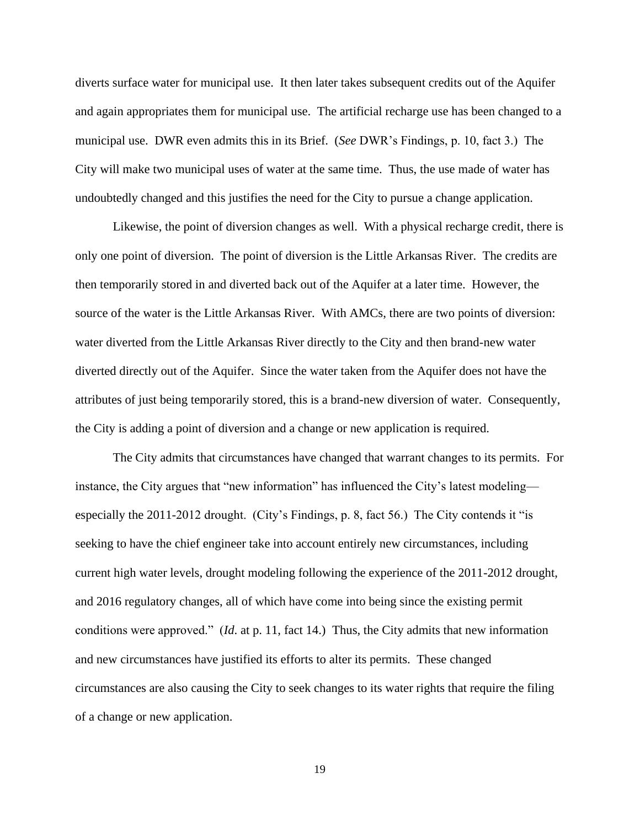diverts surface water for municipal use. It then later takes subsequent credits out of the Aquifer and again appropriates them for municipal use. The artificial recharge use has been changed to a municipal use. DWR even admits this in its Brief. (*See* DWR's Findings, p. 10, fact 3.) The City will make two municipal uses of water at the same time. Thus, the use made of water has undoubtedly changed and this justifies the need for the City to pursue a change application.

Likewise, the point of diversion changes as well. With a physical recharge credit, there is only one point of diversion. The point of diversion is the Little Arkansas River. The credits are then temporarily stored in and diverted back out of the Aquifer at a later time. However, the source of the water is the Little Arkansas River. With AMCs, there are two points of diversion: water diverted from the Little Arkansas River directly to the City and then brand-new water diverted directly out of the Aquifer. Since the water taken from the Aquifer does not have the attributes of just being temporarily stored, this is a brand-new diversion of water. Consequently, the City is adding a point of diversion and a change or new application is required.

The City admits that circumstances have changed that warrant changes to its permits. For instance, the City argues that "new information" has influenced the City's latest modeling especially the 2011-2012 drought. (City's Findings, p. 8, fact 56.) The City contends it "is seeking to have the chief engineer take into account entirely new circumstances, including current high water levels, drought modeling following the experience of the 2011-2012 drought, and 2016 regulatory changes, all of which have come into being since the existing permit conditions were approved." (*Id*. at p. 11, fact 14.) Thus, the City admits that new information and new circumstances have justified its efforts to alter its permits. These changed circumstances are also causing the City to seek changes to its water rights that require the filing of a change or new application.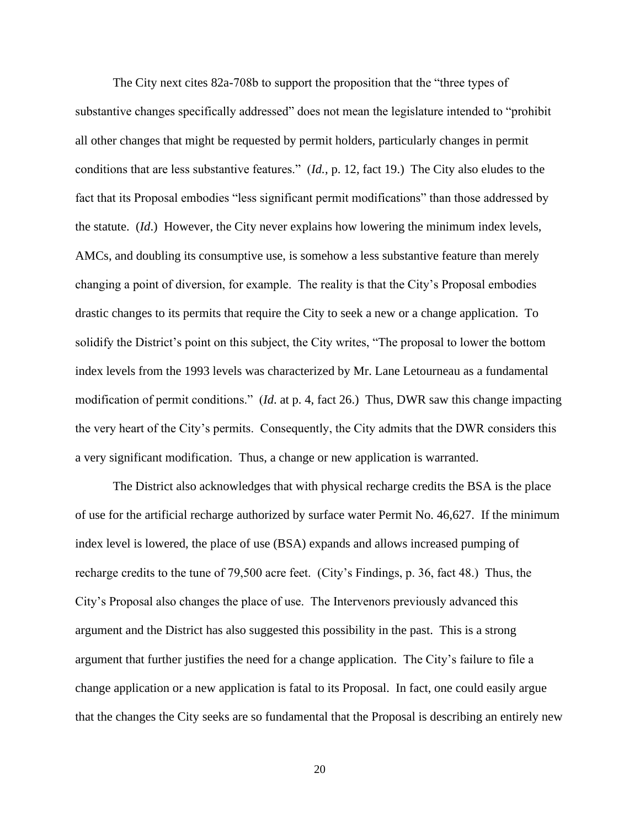The City next cites 82a-708b to support the proposition that the "three types of substantive changes specifically addressed" does not mean the legislature intended to "prohibit all other changes that might be requested by permit holders, particularly changes in permit conditions that are less substantive features." (*Id.*, p. 12, fact 19.) The City also eludes to the fact that its Proposal embodies "less significant permit modifications" than those addressed by the statute. (*Id*.) However, the City never explains how lowering the minimum index levels, AMCs, and doubling its consumptive use, is somehow a less substantive feature than merely changing a point of diversion, for example. The reality is that the City's Proposal embodies drastic changes to its permits that require the City to seek a new or a change application. To solidify the District's point on this subject, the City writes, "The proposal to lower the bottom index levels from the 1993 levels was characterized by Mr. Lane Letourneau as a fundamental modification of permit conditions." (*Id*. at p. 4, fact 26.) Thus, DWR saw this change impacting the very heart of the City's permits. Consequently, the City admits that the DWR considers this a very significant modification. Thus, a change or new application is warranted.

The District also acknowledges that with physical recharge credits the BSA is the place of use for the artificial recharge authorized by surface water Permit No. 46,627. If the minimum index level is lowered, the place of use (BSA) expands and allows increased pumping of recharge credits to the tune of 79,500 acre feet. (City's Findings, p. 36, fact 48.) Thus, the City's Proposal also changes the place of use. The Intervenors previously advanced this argument and the District has also suggested this possibility in the past. This is a strong argument that further justifies the need for a change application. The City's failure to file a change application or a new application is fatal to its Proposal. In fact, one could easily argue that the changes the City seeks are so fundamental that the Proposal is describing an entirely new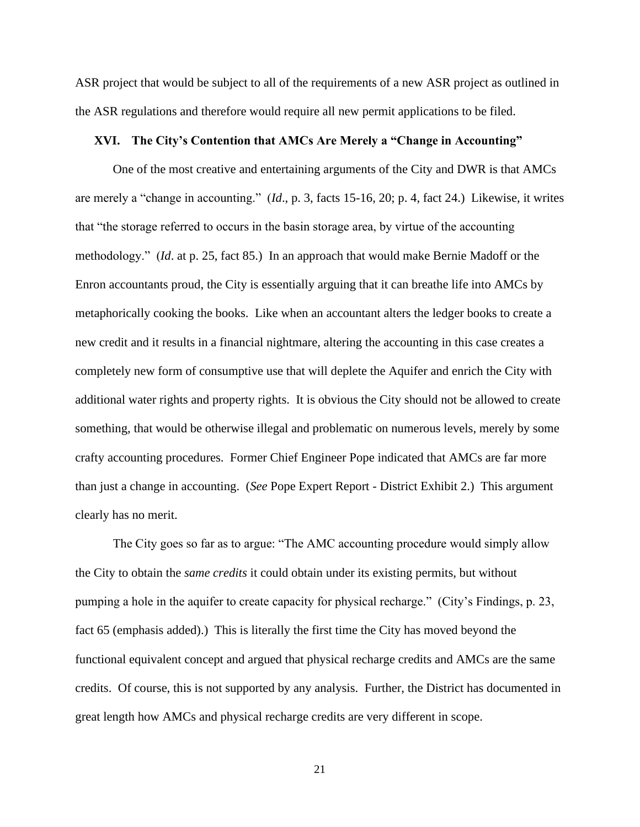ASR project that would be subject to all of the requirements of a new ASR project as outlined in the ASR regulations and therefore would require all new permit applications to be filed.

## **XVI. The City's Contention that AMCs Are Merely a "Change in Accounting"**

One of the most creative and entertaining arguments of the City and DWR is that AMCs are merely a "change in accounting." (*Id*., p. 3, facts 15-16, 20; p. 4, fact 24.) Likewise, it writes that "the storage referred to occurs in the basin storage area, by virtue of the accounting methodology." (*Id*. at p. 25, fact 85.) In an approach that would make Bernie Madoff or the Enron accountants proud, the City is essentially arguing that it can breathe life into AMCs by metaphorically cooking the books. Like when an accountant alters the ledger books to create a new credit and it results in a financial nightmare, altering the accounting in this case creates a completely new form of consumptive use that will deplete the Aquifer and enrich the City with additional water rights and property rights. It is obvious the City should not be allowed to create something, that would be otherwise illegal and problematic on numerous levels, merely by some crafty accounting procedures. Former Chief Engineer Pope indicated that AMCs are far more than just a change in accounting. (*See* Pope Expert Report - District Exhibit 2.) This argument clearly has no merit.

The City goes so far as to argue: "The AMC accounting procedure would simply allow the City to obtain the *same credits* it could obtain under its existing permits, but without pumping a hole in the aquifer to create capacity for physical recharge." (City's Findings, p. 23, fact 65 (emphasis added).) This is literally the first time the City has moved beyond the functional equivalent concept and argued that physical recharge credits and AMCs are the same credits. Of course, this is not supported by any analysis. Further, the District has documented in great length how AMCs and physical recharge credits are very different in scope.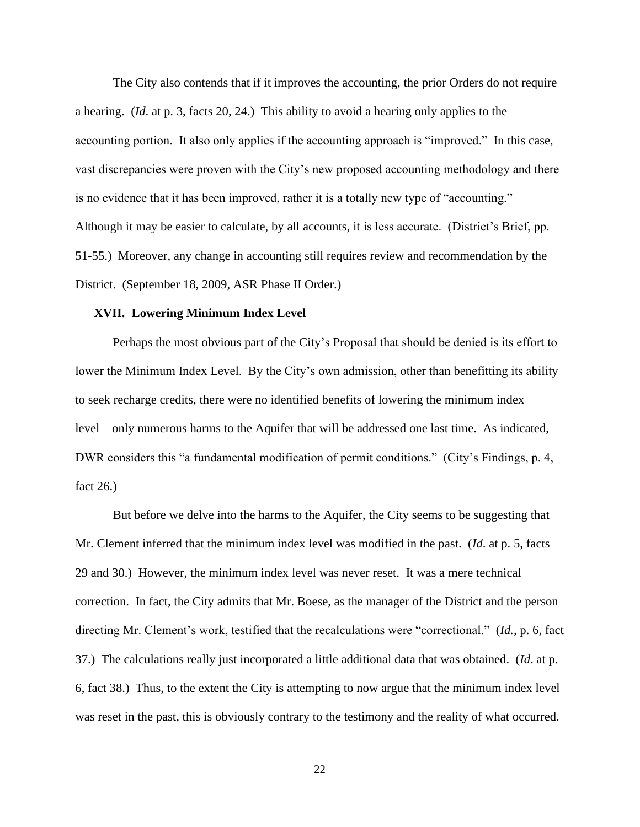The City also contends that if it improves the accounting, the prior Orders do not require a hearing. (*Id*. at p. 3, facts 20, 24.) This ability to avoid a hearing only applies to the accounting portion. It also only applies if the accounting approach is "improved." In this case, vast discrepancies were proven with the City's new proposed accounting methodology and there is no evidence that it has been improved, rather it is a totally new type of "accounting." Although it may be easier to calculate, by all accounts, it is less accurate. (District's Brief, pp. 51-55.) Moreover, any change in accounting still requires review and recommendation by the District. (September 18, 2009, ASR Phase II Order.)

## **XVII. Lowering Minimum Index Level**

Perhaps the most obvious part of the City's Proposal that should be denied is its effort to lower the Minimum Index Level. By the City's own admission, other than benefitting its ability to seek recharge credits, there were no identified benefits of lowering the minimum index level—only numerous harms to the Aquifer that will be addressed one last time. As indicated, DWR considers this "a fundamental modification of permit conditions." (City's Findings, p. 4, fact 26.)

But before we delve into the harms to the Aquifer, the City seems to be suggesting that Mr. Clement inferred that the minimum index level was modified in the past. (*Id*. at p. 5, facts 29 and 30.) However, the minimum index level was never reset. It was a mere technical correction. In fact, the City admits that Mr. Boese, as the manager of the District and the person directing Mr. Clement's work, testified that the recalculations were "correctional." (*Id.*, p. 6, fact 37.) The calculations really just incorporated a little additional data that was obtained. (*Id*. at p. 6, fact 38.) Thus, to the extent the City is attempting to now argue that the minimum index level was reset in the past, this is obviously contrary to the testimony and the reality of what occurred.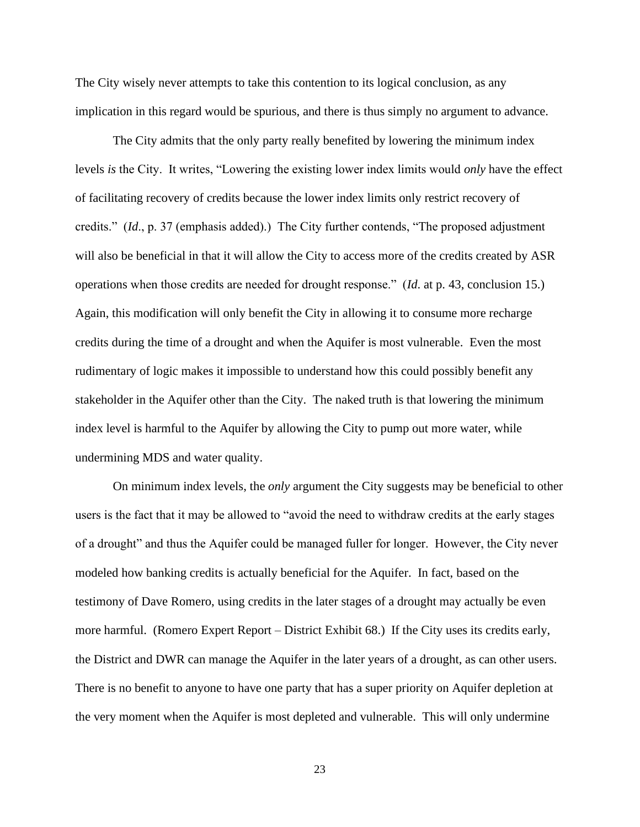The City wisely never attempts to take this contention to its logical conclusion, as any implication in this regard would be spurious, and there is thus simply no argument to advance.

The City admits that the only party really benefited by lowering the minimum index levels *is* the City. It writes, "Lowering the existing lower index limits would *only* have the effect of facilitating recovery of credits because the lower index limits only restrict recovery of credits." (*Id*., p. 37 (emphasis added).) The City further contends, "The proposed adjustment will also be beneficial in that it will allow the City to access more of the credits created by ASR operations when those credits are needed for drought response." (*Id*. at p. 43, conclusion 15.) Again, this modification will only benefit the City in allowing it to consume more recharge credits during the time of a drought and when the Aquifer is most vulnerable. Even the most rudimentary of logic makes it impossible to understand how this could possibly benefit any stakeholder in the Aquifer other than the City. The naked truth is that lowering the minimum index level is harmful to the Aquifer by allowing the City to pump out more water, while undermining MDS and water quality.

On minimum index levels, the *only* argument the City suggests may be beneficial to other users is the fact that it may be allowed to "avoid the need to withdraw credits at the early stages of a drought" and thus the Aquifer could be managed fuller for longer. However, the City never modeled how banking credits is actually beneficial for the Aquifer. In fact, based on the testimony of Dave Romero, using credits in the later stages of a drought may actually be even more harmful. (Romero Expert Report – District Exhibit 68.) If the City uses its credits early, the District and DWR can manage the Aquifer in the later years of a drought, as can other users. There is no benefit to anyone to have one party that has a super priority on Aquifer depletion at the very moment when the Aquifer is most depleted and vulnerable. This will only undermine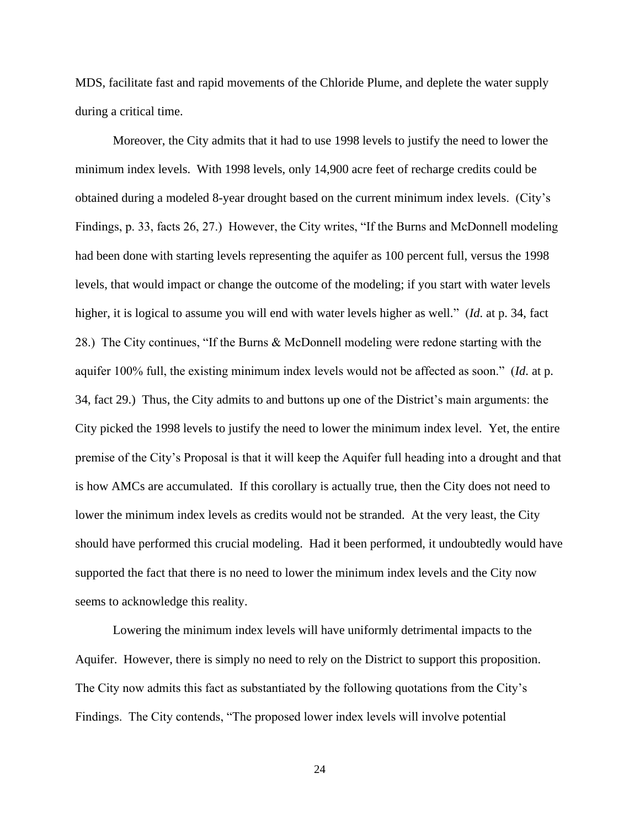MDS, facilitate fast and rapid movements of the Chloride Plume, and deplete the water supply during a critical time.

Moreover, the City admits that it had to use 1998 levels to justify the need to lower the minimum index levels. With 1998 levels, only 14,900 acre feet of recharge credits could be obtained during a modeled 8-year drought based on the current minimum index levels. (City's Findings, p. 33, facts 26, 27.) However, the City writes, "If the Burns and McDonnell modeling had been done with starting levels representing the aquifer as 100 percent full, versus the 1998 levels, that would impact or change the outcome of the modeling; if you start with water levels higher, it is logical to assume you will end with water levels higher as well." (*Id*. at p. 34, fact 28.) The City continues, "If the Burns & McDonnell modeling were redone starting with the aquifer 100% full, the existing minimum index levels would not be affected as soon." (*Id*. at p. 34, fact 29.) Thus, the City admits to and buttons up one of the District's main arguments: the City picked the 1998 levels to justify the need to lower the minimum index level. Yet, the entire premise of the City's Proposal is that it will keep the Aquifer full heading into a drought and that is how AMCs are accumulated. If this corollary is actually true, then the City does not need to lower the minimum index levels as credits would not be stranded. At the very least, the City should have performed this crucial modeling. Had it been performed, it undoubtedly would have supported the fact that there is no need to lower the minimum index levels and the City now seems to acknowledge this reality.

Lowering the minimum index levels will have uniformly detrimental impacts to the Aquifer. However, there is simply no need to rely on the District to support this proposition. The City now admits this fact as substantiated by the following quotations from the City's Findings. The City contends, "The proposed lower index levels will involve potential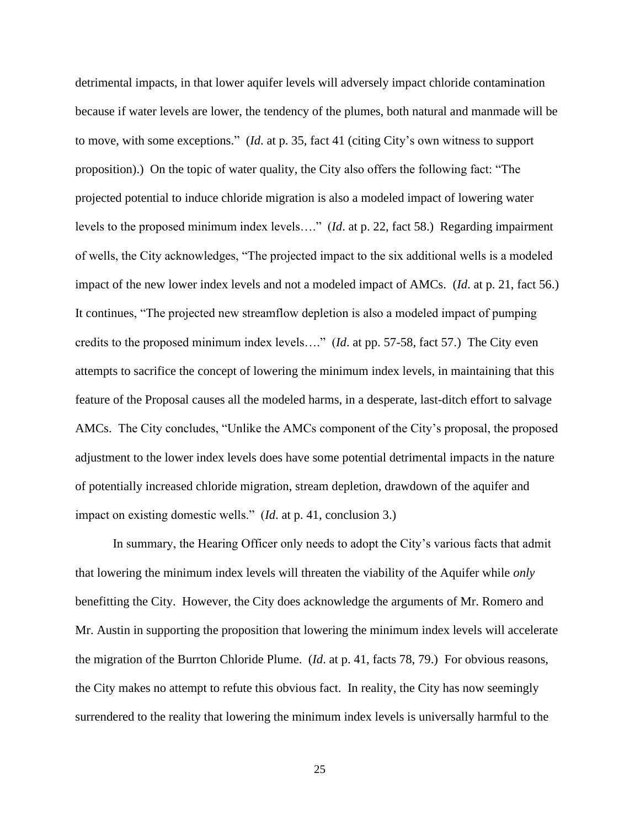detrimental impacts, in that lower aquifer levels will adversely impact chloride contamination because if water levels are lower, the tendency of the plumes, both natural and manmade will be to move, with some exceptions." (*Id*. at p. 35, fact 41 (citing City's own witness to support proposition).) On the topic of water quality, the City also offers the following fact: "The projected potential to induce chloride migration is also a modeled impact of lowering water levels to the proposed minimum index levels…." (*Id*. at p. 22, fact 58.) Regarding impairment of wells, the City acknowledges, "The projected impact to the six additional wells is a modeled impact of the new lower index levels and not a modeled impact of AMCs. (*Id*. at p. 21, fact 56.) It continues, "The projected new streamflow depletion is also a modeled impact of pumping credits to the proposed minimum index levels…." (*Id*. at pp. 57-58, fact 57.) The City even attempts to sacrifice the concept of lowering the minimum index levels, in maintaining that this feature of the Proposal causes all the modeled harms, in a desperate, last-ditch effort to salvage AMCs. The City concludes, "Unlike the AMCs component of the City's proposal, the proposed adjustment to the lower index levels does have some potential detrimental impacts in the nature of potentially increased chloride migration, stream depletion, drawdown of the aquifer and impact on existing domestic wells." (*Id*. at p. 41, conclusion 3.)

In summary, the Hearing Officer only needs to adopt the City's various facts that admit that lowering the minimum index levels will threaten the viability of the Aquifer while *only* benefitting the City. However, the City does acknowledge the arguments of Mr. Romero and Mr. Austin in supporting the proposition that lowering the minimum index levels will accelerate the migration of the Burrton Chloride Plume. (*Id*. at p. 41, facts 78, 79.) For obvious reasons, the City makes no attempt to refute this obvious fact. In reality, the City has now seemingly surrendered to the reality that lowering the minimum index levels is universally harmful to the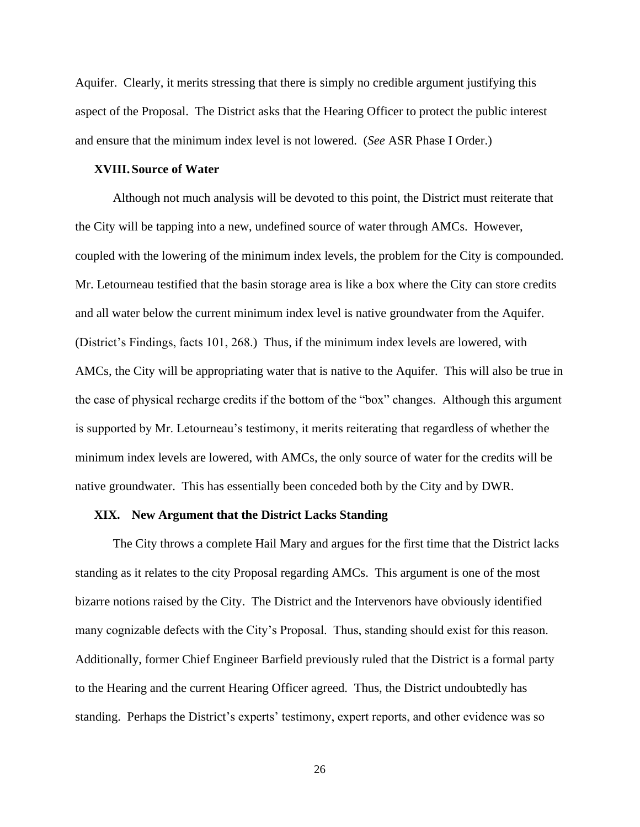Aquifer. Clearly, it merits stressing that there is simply no credible argument justifying this aspect of the Proposal. The District asks that the Hearing Officer to protect the public interest and ensure that the minimum index level is not lowered. (*See* ASR Phase I Order.)

## **XVIII. Source of Water**

Although not much analysis will be devoted to this point, the District must reiterate that the City will be tapping into a new, undefined source of water through AMCs. However, coupled with the lowering of the minimum index levels, the problem for the City is compounded. Mr. Letourneau testified that the basin storage area is like a box where the City can store credits and all water below the current minimum index level is native groundwater from the Aquifer. (District's Findings, facts 101, 268.) Thus, if the minimum index levels are lowered, with AMCs, the City will be appropriating water that is native to the Aquifer. This will also be true in the case of physical recharge credits if the bottom of the "box" changes. Although this argument is supported by Mr. Letourneau's testimony, it merits reiterating that regardless of whether the minimum index levels are lowered, with AMCs, the only source of water for the credits will be native groundwater. This has essentially been conceded both by the City and by DWR.

#### **XIX. New Argument that the District Lacks Standing**

The City throws a complete Hail Mary and argues for the first time that the District lacks standing as it relates to the city Proposal regarding AMCs. This argument is one of the most bizarre notions raised by the City. The District and the Intervenors have obviously identified many cognizable defects with the City's Proposal. Thus, standing should exist for this reason. Additionally, former Chief Engineer Barfield previously ruled that the District is a formal party to the Hearing and the current Hearing Officer agreed. Thus, the District undoubtedly has standing. Perhaps the District's experts' testimony, expert reports, and other evidence was so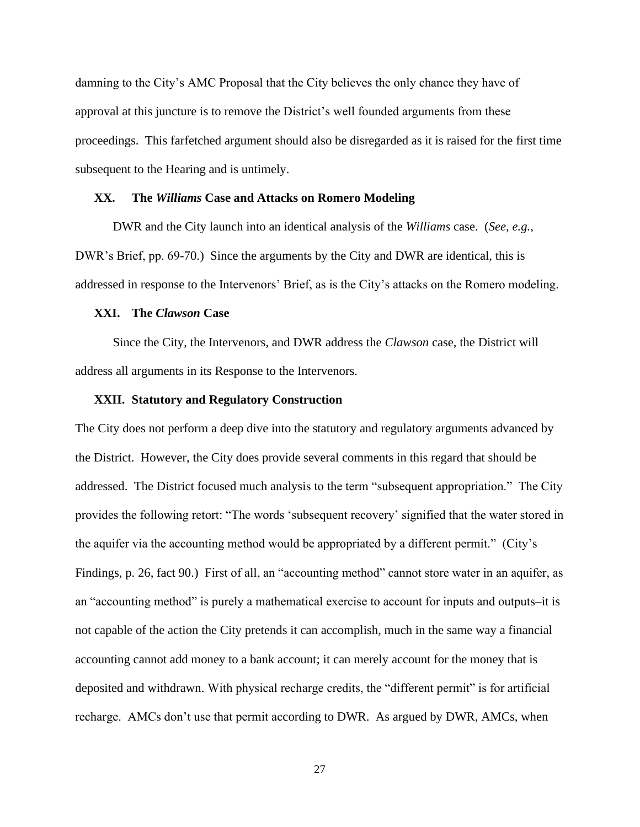damning to the City's AMC Proposal that the City believes the only chance they have of approval at this juncture is to remove the District's well founded arguments from these proceedings. This farfetched argument should also be disregarded as it is raised for the first time subsequent to the Hearing and is untimely.

#### **XX. The** *Williams* **Case and Attacks on Romero Modeling**

DWR and the City launch into an identical analysis of the *Williams* case. (*See, e.g.,* DWR's Brief, pp. 69-70.) Since the arguments by the City and DWR are identical, this is addressed in response to the Intervenors' Brief, as is the City's attacks on the Romero modeling.

### **XXI. The** *Clawson* **Case**

Since the City, the Intervenors, and DWR address the *Clawson* case, the District will address all arguments in its Response to the Intervenors.

#### **XXII. Statutory and Regulatory Construction**

The City does not perform a deep dive into the statutory and regulatory arguments advanced by the District. However, the City does provide several comments in this regard that should be addressed. The District focused much analysis to the term "subsequent appropriation." The City provides the following retort: "The words 'subsequent recovery' signified that the water stored in the aquifer via the accounting method would be appropriated by a different permit." (City's Findings, p. 26, fact 90.) First of all, an "accounting method" cannot store water in an aquifer, as an "accounting method" is purely a mathematical exercise to account for inputs and outputs–it is not capable of the action the City pretends it can accomplish, much in the same way a financial accounting cannot add money to a bank account; it can merely account for the money that is deposited and withdrawn. With physical recharge credits, the "different permit" is for artificial recharge. AMCs don't use that permit according to DWR. As argued by DWR, AMCs, when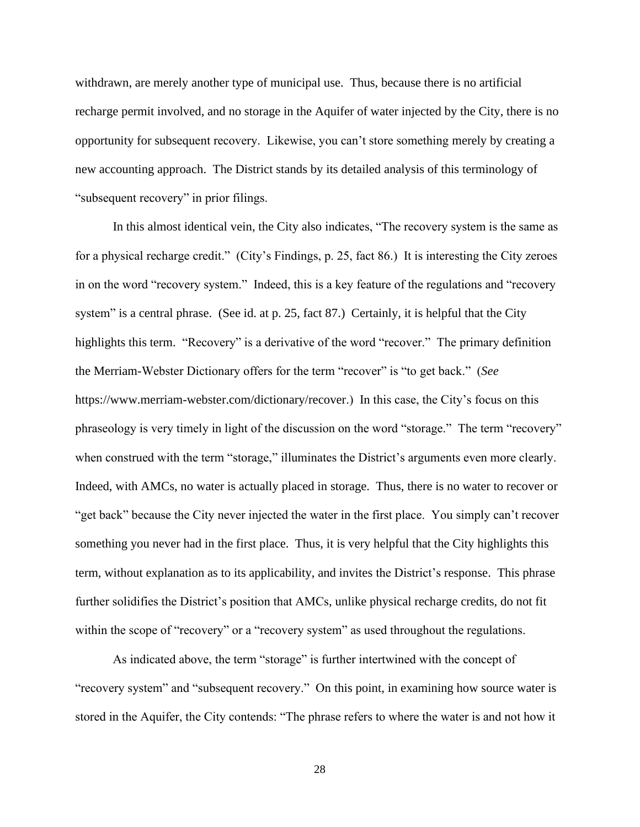withdrawn, are merely another type of municipal use. Thus, because there is no artificial recharge permit involved, and no storage in the Aquifer of water injected by the City, there is no opportunity for subsequent recovery. Likewise, you can't store something merely by creating a new accounting approach. The District stands by its detailed analysis of this terminology of "subsequent recovery" in prior filings.

In this almost identical vein, the City also indicates, "The recovery system is the same as for a physical recharge credit." (City's Findings, p. 25, fact 86.) It is interesting the City zeroes in on the word "recovery system." Indeed, this is a key feature of the regulations and "recovery system" is a central phrase. (See id. at p. 25, fact 87.) Certainly, it is helpful that the City highlights this term. "Recovery" is a derivative of the word "recover." The primary definition the Merriam-Webster Dictionary offers for the term "recover" is "to get back." (*See* https://www.merriam-webster.com/dictionary/recover.) In this case, the City's focus on this phraseology is very timely in light of the discussion on the word "storage." The term "recovery" when construed with the term "storage," illuminates the District's arguments even more clearly. Indeed, with AMCs, no water is actually placed in storage. Thus, there is no water to recover or "get back" because the City never injected the water in the first place. You simply can't recover something you never had in the first place. Thus, it is very helpful that the City highlights this term, without explanation as to its applicability, and invites the District's response. This phrase further solidifies the District's position that AMCs, unlike physical recharge credits, do not fit within the scope of "recovery" or a "recovery system" as used throughout the regulations.

As indicated above, the term "storage" is further intertwined with the concept of "recovery system" and "subsequent recovery." On this point, in examining how source water is stored in the Aquifer, the City contends: "The phrase refers to where the water is and not how it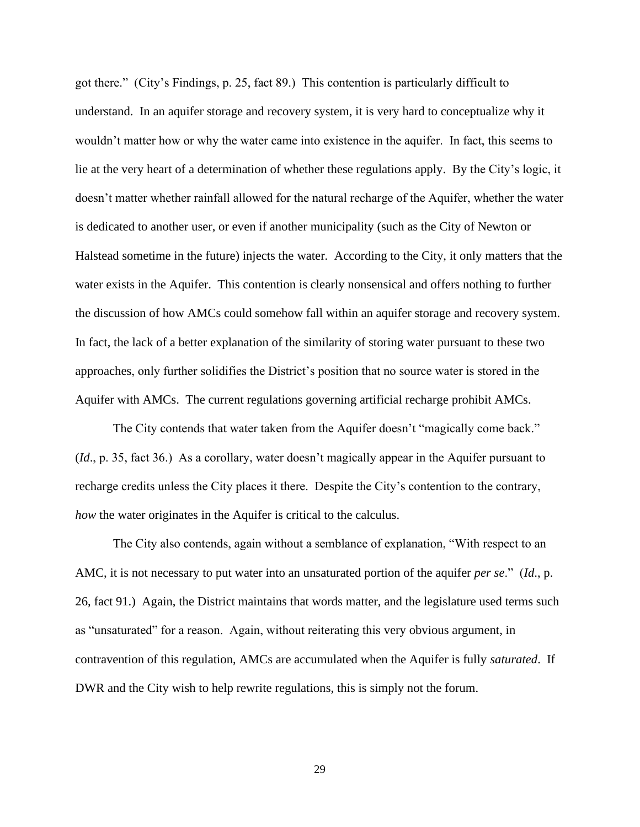got there." (City's Findings, p. 25, fact 89.) This contention is particularly difficult to understand. In an aquifer storage and recovery system, it is very hard to conceptualize why it wouldn't matter how or why the water came into existence in the aquifer. In fact, this seems to lie at the very heart of a determination of whether these regulations apply. By the City's logic, it doesn't matter whether rainfall allowed for the natural recharge of the Aquifer, whether the water is dedicated to another user, or even if another municipality (such as the City of Newton or Halstead sometime in the future) injects the water. According to the City, it only matters that the water exists in the Aquifer. This contention is clearly nonsensical and offers nothing to further the discussion of how AMCs could somehow fall within an aquifer storage and recovery system. In fact, the lack of a better explanation of the similarity of storing water pursuant to these two approaches, only further solidifies the District's position that no source water is stored in the Aquifer with AMCs. The current regulations governing artificial recharge prohibit AMCs.

The City contends that water taken from the Aquifer doesn't "magically come back." (*Id*., p. 35, fact 36.) As a corollary, water doesn't magically appear in the Aquifer pursuant to recharge credits unless the City places it there. Despite the City's contention to the contrary, *how* the water originates in the Aquifer is critical to the calculus.

The City also contends, again without a semblance of explanation, "With respect to an AMC, it is not necessary to put water into an unsaturated portion of the aquifer *per se*." (*Id*., p. 26, fact 91.) Again, the District maintains that words matter, and the legislature used terms such as "unsaturated" for a reason. Again, without reiterating this very obvious argument, in contravention of this regulation, AMCs are accumulated when the Aquifer is fully *saturated*. If DWR and the City wish to help rewrite regulations, this is simply not the forum.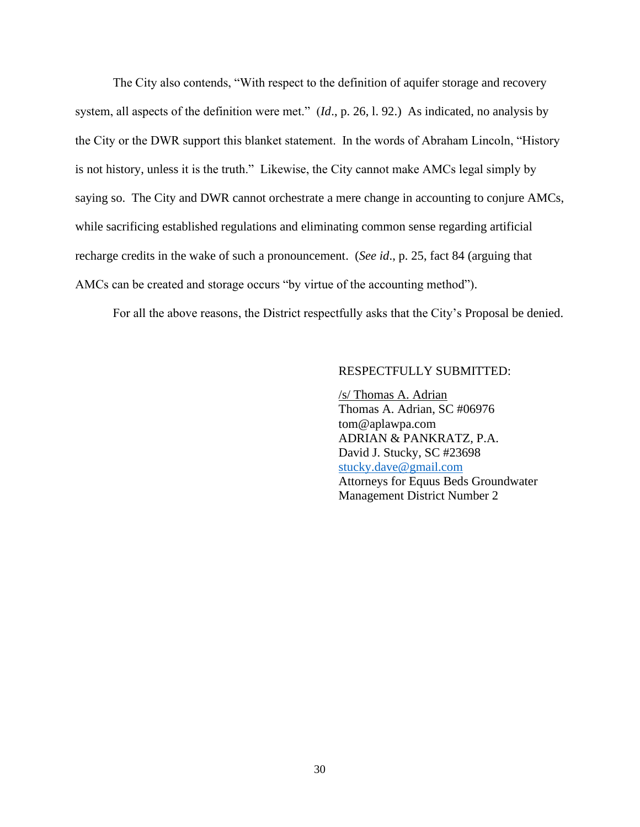The City also contends, "With respect to the definition of aquifer storage and recovery system, all aspects of the definition were met." (*Id*., p. 26, l. 92.) As indicated, no analysis by the City or the DWR support this blanket statement. In the words of Abraham Lincoln, "History is not history, unless it is the truth." Likewise, the City cannot make AMCs legal simply by saying so. The City and DWR cannot orchestrate a mere change in accounting to conjure AMCs, while sacrificing established regulations and eliminating common sense regarding artificial recharge credits in the wake of such a pronouncement. (*See id*., p. 25, fact 84 (arguing that AMCs can be created and storage occurs "by virtue of the accounting method").

For all the above reasons, the District respectfully asks that the City's Proposal be denied.

## RESPECTFULLY SUBMITTED:

/s/ Thomas A. Adrian Thomas A. Adrian, SC #06976 tom@aplawpa.com ADRIAN & PANKRATZ, P.A. David J. Stucky, SC #23698 [stucky.dave@gmail.com](mailto:dave@aplawpa.com) Attorneys for Equus Beds Groundwater Management District Number 2